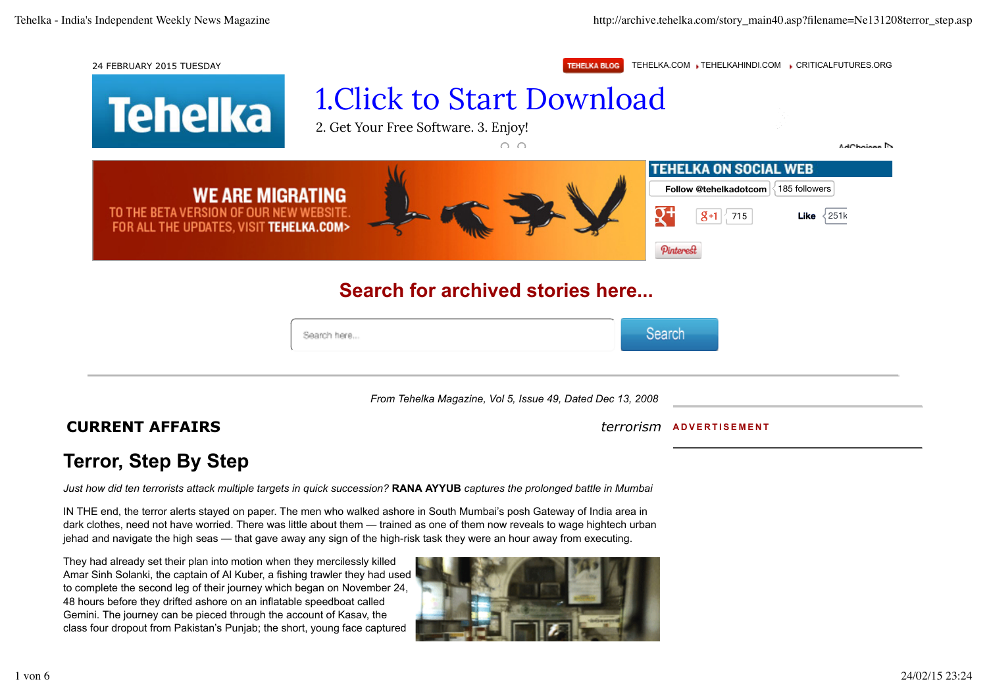## 24 FEBRUARY 2015 TUESDAY **TEHELKA BLOG** TEHELKA.COM TEHELKAHINDI.COM CRITICALFUTURES.ORG

**Toholka** 

1.Click to Start Download

| <u>іспенм</u>                                                                                                 | 2. Get Your Free Software. 3. Enjoy! | $\cap$ $\cap$                                              | AdChoises D                                                                                                                                                                     |
|---------------------------------------------------------------------------------------------------------------|--------------------------------------|------------------------------------------------------------|---------------------------------------------------------------------------------------------------------------------------------------------------------------------------------|
| <b>WE ARE MIGRATING</b><br>TO THE BETA VERSION OF OUR NEW WEBSITE.<br>FOR ALL THE UPDATES, VISIT TEHELKA.COM> |                                      |                                                            | <b>TEHELKA ON SOCIAL WEB</b><br>$\langle$ 185 followers<br>Follow @tehelkadotcom<br>$\mathsf{R}^+$<br>$ 8+1 $ 715<br><b>Like</b> $\left\langle 251k \right\rangle$<br>Pinterest |
|                                                                                                               |                                      | Search for archived stories here                           |                                                                                                                                                                                 |
| Search here                                                                                                   |                                      | Search                                                     |                                                                                                                                                                                 |
|                                                                                                               |                                      | From Tehelka Magazine, Vol 5, Issue 49, Dated Dec 13, 2008 |                                                                                                                                                                                 |
| <b>CURRENT AFFAIRS</b>                                                                                        |                                      |                                                            | terrorism<br><b>ADVERTISEMENT</b>                                                                                                                                               |

## **Terror, Step By Step**

*Just how did ten terrorists attack multiple targets in quick succession?* **RANA AYYUB** *captures the prolonged battle in Mumbai*

IN THE end, the terror alerts stayed on paper. The men who walked ashore in South Mumbai's posh Gateway of India area in dark clothes, need not have worried. There was little about them — trained as one of them now reveals to wage hightech urban jehad and navigate the high seas — that gave away any sign of the high-risk task they were an hour away from executing.

They had already set their plan into motion when they mercilessly killed Amar Sinh Solanki, the captain of Al Kuber, a fishing trawler they had used to complete the second leg of their journey which began on November 24, 48 hours before they drifted ashore on an inflatable speedboat called Gemini. The journey can be pieced through the account of Kasav, the class four dropout from Pakistan's Punjab; the short, young face captured

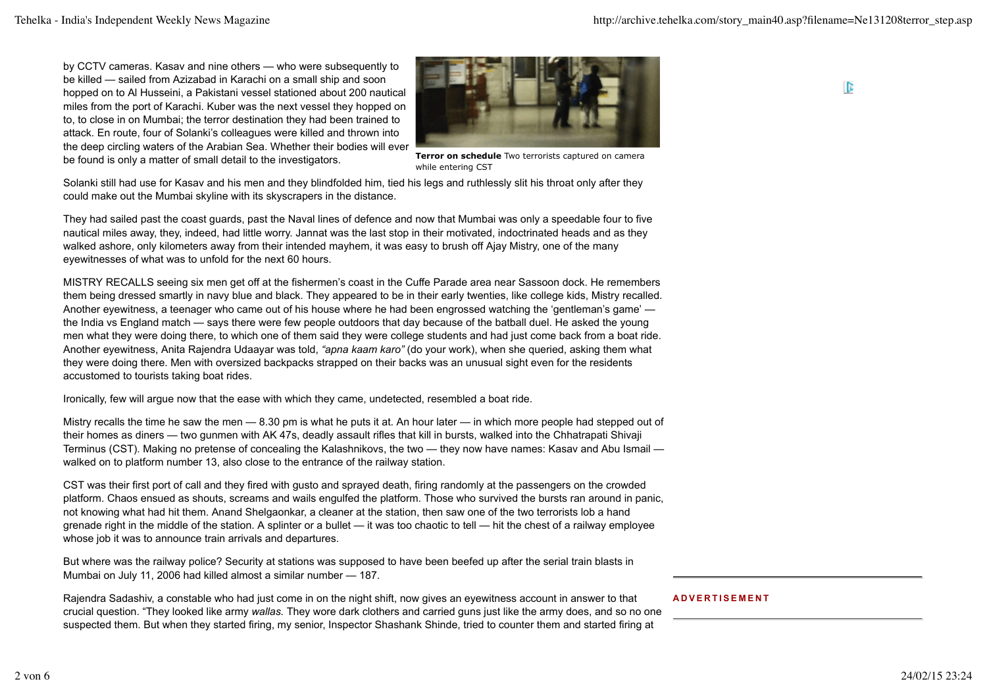by CCTV cameras. Kasav and nine others — who were subsequently to be killed — sailed from Azizabad in Karachi on a small ship and soon hopped on to Al Husseini, a Pakistani vessel stationed about 200 nautical miles from the port of Karachi. Kuber was the next vessel they hopped on to, to close in on Mumbai; the terror destination they had been trained to attack. En route, four of Solanki's colleagues were killed and thrown into the deep circling waters of the Arabian Sea. Whether their bodies will ever be found is only a matter of small detail to the investigators.



**Terror on schedule** Two terrorists captured on camera while entering CST

Solanki still had use for Kasav and his men and they blindfolded him, tied his legs and ruthlessly slit his throat only after they could make out the Mumbai skyline with its skyscrapers in the distance.

They had sailed past the coast guards, past the Naval lines of defence and now that Mumbai was only a speedable four to five nautical miles away, they, indeed, had little worry. Jannat was the last stop in their motivated, indoctrinated heads and as they walked ashore, only kilometers away from their intended mayhem, it was easy to brush off Ajay Mistry, one of the many eyewitnesses of what was to unfold for the next 60 hours.

MISTRY RECALLS seeing six men get off at the fishermen's coast in the Cuffe Parade area near Sassoon dock. He remembers them being dressed smartly in navy blue and black. They appeared to be in their early twenties, like college kids, Mistry recalled. Another eyewitness, a teenager who came out of his house where he had been engrossed watching the 'gentleman's game' the India vs England match — says there were few people outdoors that day because of the batball duel. He asked the young men what they were doing there, to which one of them said they were college students and had just come back from a boat ride. Another eyewitness, Anita Rajendra Udaayar was told, *"apna kaam karo"* (do your work), when she queried, asking them what they were doing there. Men with oversized backpacks strapped on their backs was an unusual sight even for the residents accustomed to tourists taking boat rides.

Ironically, few will argue now that the ease with which they came, undetected, resembled a boat ride.

Mistry recalls the time he saw the men — 8.30 pm is what he puts it at. An hour later — in which more people had stepped out of their homes as diners — two gunmen with AK 47s, deadly assault rifles that kill in bursts, walked into the Chhatrapati Shivaji Terminus (CST). Making no pretense of concealing the Kalashnikovs, the two — they now have names: Kasav and Abu Ismail walked on to platform number 13, also close to the entrance of the railway station.

CST was their first port of call and they fired with gusto and sprayed death, firing randomly at the passengers on the crowded platform. Chaos ensued as shouts, screams and wails engulfed the platform. Those who survived the bursts ran around in panic, not knowing what had hit them. Anand Shelgaonkar, a cleaner at the station, then saw one of the two terrorists lob a hand grenade right in the middle of the station. A splinter or a bullet — it was too chaotic to tell — hit the chest of a railway employee whose job it was to announce train arrivals and departures.

But where was the railway police? Security at stations was supposed to have been beefed up after the serial train blasts in Mumbai on July 11, 2006 had killed almost a similar number — 187.

Rajendra Sadashiv, a constable who had just come in on the night shift, now gives an eyewitness account in answer to that crucial question. "They looked like army *wallas.* They wore dark clothers and carried guns just like the army does, and so no one suspected them. But when they started firing, my senior, Inspector Shashank Shinde, tried to counter them and started firing at

## **ADVERTISEMENT**

ID.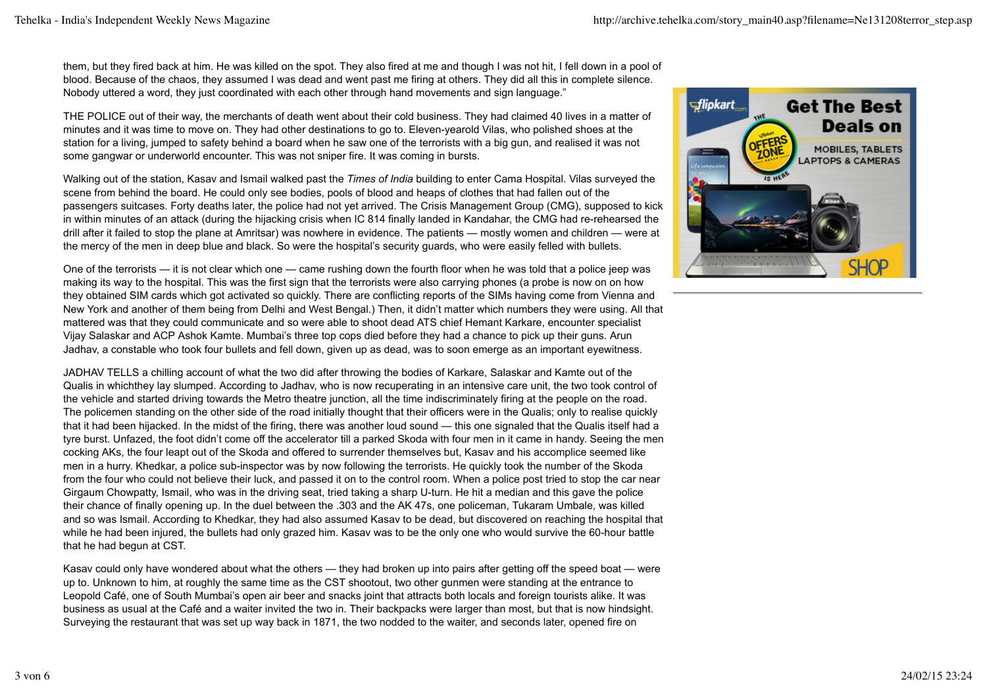them, but they fired back at him. He was killed on the spot. They also fired at me and though I was not hit, I fell down in a pool of blood. Because of the chaos, they assumed I was dead and went past me firing at others. They did all this in complete silence. Nobody uttered a word, they just coordinated with each other through hand movements and sign language."

THE POLICE out of their way, the merchants of death went about their cold business. They had claimed 40 lives in a matter of minutes and it was time to move on. They had other destinations to go to. Eleven-yearold Vilas, who polished shoes at the station for a living, jumped to safety behind a board when he saw one of the terrorists with a big gun, and realised it was not some gangwar or underworld encounter. This was not sniper fire. It was coming in bursts.

Walking out of the station, Kasav and Ismail walked past the *Times of India* building to enter Cama Hospital. Vilas surveyed the scene from behind the board. He could only see bodies, pools of blood and heaps of clothes that had fallen out of the passengers suitcases. Forty deaths later, the police had not yet arrived. The Crisis Management Group (CMG), supposed to kick in within minutes of an attack (during the hijacking crisis when IC 814 finally landed in Kandahar, the CMG had re-rehearsed the drill after it failed to stop the plane at Amritsar) was nowhere in evidence. The patients — mostly women and children — were at the mercy of the men in deep blue and black. So were the hospital's security guards, who were easily felled with bullets.

One of the terrorists — it is not clear which one — came rushing down the fourth floor when he was told that a police jeep was making its way to the hospital. This was the first sign that the terrorists were also carrying phones (a probe is now on on how they obtained SIM cards which got activated so quickly. There are conflicting reports of the SIMs having come from Vienna and New York and another of them being from Delhi and West Bengal.) Then, it didn't matter which numbers they were using. All that mattered was that they could communicate and so were able to shoot dead ATS chief Hemant Karkare, encounter specialist Vijay Salaskar and ACP Ashok Kamte. Mumbai's three top cops died before they had a chance to pick up their guns. Arun Jadhav, a constable who took four bullets and fell down, given up as dead, was to soon emerge as an important eyewitness.

JADHAV TELLS a chilling account of what the two did after throwing the bodies of Karkare, Salaskar and Kamte out of the Qualis in whichthey lay slumped. According to Jadhav, who is now recuperating in an intensive care unit, the two took control of the vehicle and started driving towards the Metro theatre junction, all the time indiscriminately firing at the people on the road. The policemen standing on the other side of the road initially thought that their officers were in the Qualis; only to realise quickly that it had been hijacked. In the midst of the firing, there was another loud sound — this one signaled that the Qualis itself had a tyre burst. Unfazed, the foot didn't come off the accelerator till a parked Skoda with four men in it came in handy. Seeing the men cocking AKs, the four leapt out of the Skoda and offered to surrender themselves but, Kasav and his accomplice seemed like men in a hurry. Khedkar, a police sub-inspector was by now following the terrorists. He quickly took the number of the Skoda from the four who could not believe their luck, and passed it on to the control room. When a police post tried to stop the car near Girgaum Chowpatty, Ismail, who was in the driving seat, tried taking a sharp U-turn. He hit a median and this gave the police their chance of finally opening up. In the duel between the .303 and the AK 47s, one policeman, Tukaram Umbale, was killed and so was Ismail. According to Khedkar, they had also assumed Kasav to be dead, but discovered on reaching the hospital that while he had been injured, the bullets had only grazed him. Kasav was to be the only one who would survive the 60-hour battle that he had begun at CST.

Kasav could only have wondered about what the others — they had broken up into pairs after getting off the speed boat — were up to. Unknown to him, at roughly the same time as the CST shootout, two other gunmen were standing at the entrance to Leopold Café, one of South Mumbai's open air beer and snacks joint that attracts both locals and foreign tourists alike. It was business as usual at the Café and a waiter invited the two in. Their backpacks were larger than most, but that is now hindsight. Surveying the restaurant that was set up way back in 1871, the two nodded to the waiter, and seconds later, opened fire on

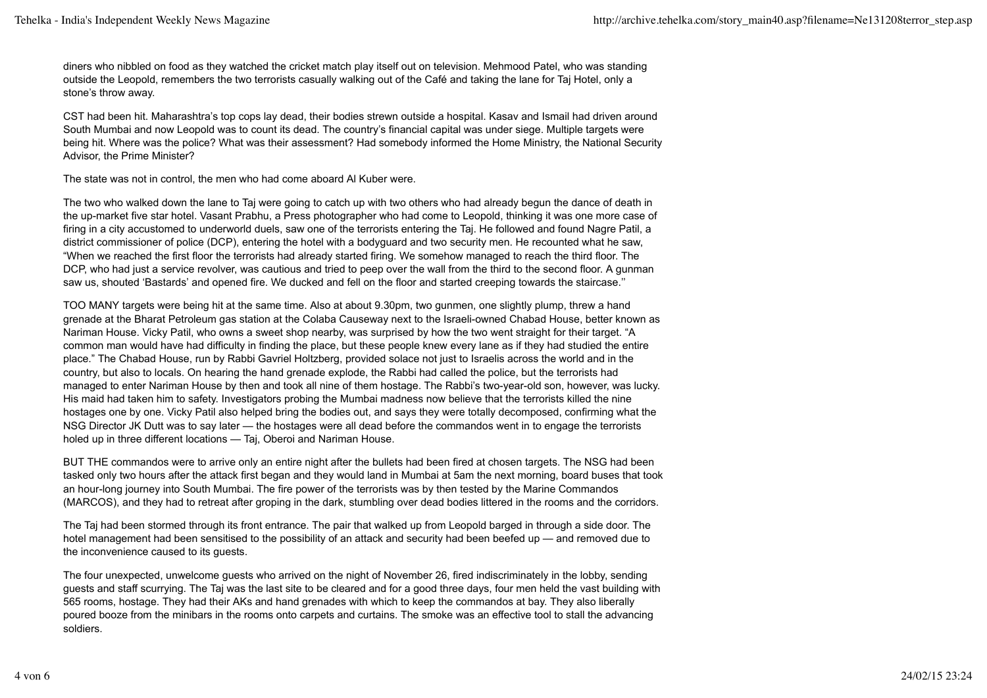diners who nibbled on food as they watched the cricket match play itself out on television. Mehmood Patel, who was standing outside the Leopold, remembers the two terrorists casually walking out of the Café and taking the lane for Taj Hotel, only a stone's throw away.

CST had been hit. Maharashtra's top cops lay dead, their bodies strewn outside a hospital. Kasav and Ismail had driven around South Mumbai and now Leopold was to count its dead. The country's financial capital was under siege. Multiple targets were being hit. Where was the police? What was their assessment? Had somebody informed the Home Ministry, the National Security Advisor, the Prime Minister?

The state was not in control, the men who had come aboard Al Kuber were.

The two who walked down the lane to Taj were going to catch up with two others who had already begun the dance of death in the up-market five star hotel. Vasant Prabhu, a Press photographer who had come to Leopold, thinking it was one more case of firing in a city accustomed to underworld duels, saw one of the terrorists entering the Taj. He followed and found Nagre Patil, a district commissioner of police (DCP), entering the hotel with a bodyguard and two security men. He recounted what he saw, "When we reached the first floor the terrorists had already started firing. We somehow managed to reach the third floor. The DCP, who had just a service revolver, was cautious and tried to peep over the wall from the third to the second floor. A gunman saw us, shouted 'Bastards' and opened fire. We ducked and fell on the floor and started creeping towards the staircase.''

TOO MANY targets were being hit at the same time. Also at about 9.30pm, two gunmen, one slightly plump, threw a hand grenade at the Bharat Petroleum gas station at the Colaba Causeway next to the Israeli-owned Chabad House, better known as Nariman House. Vicky Patil, who owns a sweet shop nearby, was surprised by how the two went straight for their target. "A common man would have had difficulty in finding the place, but these people knew every lane as if they had studied the entire place." The Chabad House, run by Rabbi Gavriel Holtzberg, provided solace not just to Israelis across the world and in the country, but also to locals. On hearing the hand grenade explode, the Rabbi had called the police, but the terrorists had managed to enter Nariman House by then and took all nine of them hostage. The Rabbi's two-year-old son, however, was lucky. His maid had taken him to safety. Investigators probing the Mumbai madness now believe that the terrorists killed the nine hostages one by one. Vicky Patil also helped bring the bodies out, and says they were totally decomposed, confirming what the NSG Director JK Dutt was to say later — the hostages were all dead before the commandos went in to engage the terrorists holed up in three different locations — Taj, Oberoi and Nariman House.

BUT THE commandos were to arrive only an entire night after the bullets had been fired at chosen targets. The NSG had been tasked only two hours after the attack first began and they would land in Mumbai at 5am the next morning, board buses that took an hour-long journey into South Mumbai. The fire power of the terrorists was by then tested by the Marine Commandos (MARCOS), and they had to retreat after groping in the dark, stumbling over dead bodies littered in the rooms and the corridors.

The Taj had been stormed through its front entrance. The pair that walked up from Leopold barged in through a side door. The hotel management had been sensitised to the possibility of an attack and security had been beefed up — and removed due to the inconvenience caused to its guests.

The four unexpected, unwelcome guests who arrived on the night of November 26, fired indiscriminately in the lobby, sending guests and staff scurrying. The Taj was the last site to be cleared and for a good three days, four men held the vast building with 565 rooms, hostage. They had their AKs and hand grenades with which to keep the commandos at bay. They also liberally poured booze from the minibars in the rooms onto carpets and curtains. The smoke was an effective tool to stall the advancing soldiers.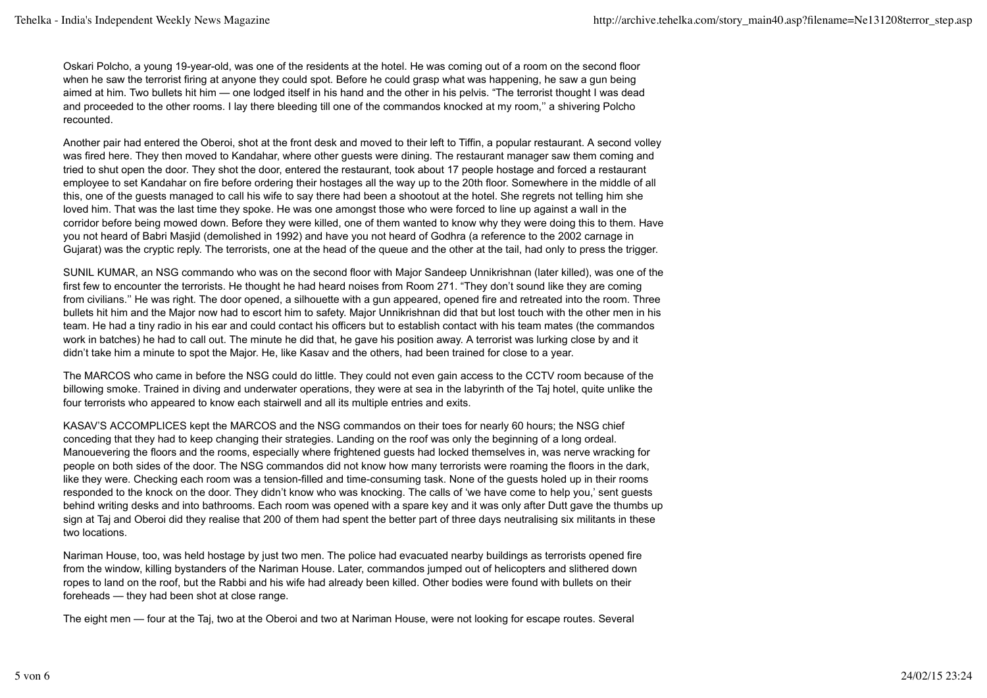Oskari Polcho, a young 19-year-old, was one of the residents at the hotel. He was coming out of a room on the second floor when he saw the terrorist firing at anyone they could spot. Before he could grasp what was happening, he saw a gun being aimed at him. Two bullets hit him — one lodged itself in his hand and the other in his pelvis. "The terrorist thought I was dead and proceeded to the other rooms. I lay there bleeding till one of the commandos knocked at my room,'' a shivering Polcho recounted.

Another pair had entered the Oberoi, shot at the front desk and moved to their left to Tiffin, a popular restaurant. A second volley was fired here. They then moved to Kandahar, where other guests were dining. The restaurant manager saw them coming and tried to shut open the door. They shot the door, entered the restaurant, took about 17 people hostage and forced a restaurant employee to set Kandahar on fire before ordering their hostages all the way up to the 20th floor. Somewhere in the middle of all this, one of the guests managed to call his wife to say there had been a shootout at the hotel. She regrets not telling him she loved him. That was the last time they spoke. He was one amongst those who were forced to line up against a wall in the corridor before being mowed down. Before they were killed, one of them wanted to know why they were doing this to them. Have you not heard of Babri Masjid (demolished in 1992) and have you not heard of Godhra (a reference to the 2002 carnage in Gujarat) was the cryptic reply. The terrorists, one at the head of the queue and the other at the tail, had only to press the trigger.

SUNIL KUMAR, an NSG commando who was on the second floor with Major Sandeep Unnikrishnan (later killed), was one of the first few to encounter the terrorists. He thought he had heard noises from Room 271. "They don't sound like they are coming from civilians.'' He was right. The door opened, a silhouette with a gun appeared, opened fire and retreated into the room. Three bullets hit him and the Major now had to escort him to safety. Major Unnikrishnan did that but lost touch with the other men in his team. He had a tiny radio in his ear and could contact his officers but to establish contact with his team mates (the commandos work in batches) he had to call out. The minute he did that, he gave his position away. A terrorist was lurking close by and it didn't take him a minute to spot the Major. He, like Kasav and the others, had been trained for close to a year.

The MARCOS who came in before the NSG could do little. They could not even gain access to the CCTV room because of the billowing smoke. Trained in diving and underwater operations, they were at sea in the labyrinth of the Taj hotel, quite unlike the four terrorists who appeared to know each stairwell and all its multiple entries and exits.

KASAV'S ACCOMPLICES kept the MARCOS and the NSG commandos on their toes for nearly 60 hours; the NSG chief conceding that they had to keep changing their strategies. Landing on the roof was only the beginning of a long ordeal. Manouevering the floors and the rooms, especially where frightened guests had locked themselves in, was nerve wracking for people on both sides of the door. The NSG commandos did not know how many terrorists were roaming the floors in the dark, like they were. Checking each room was a tension-filled and time-consuming task. None of the guests holed up in their rooms responded to the knock on the door. They didn't know who was knocking. The calls of 'we have come to help you,' sent guests behind writing desks and into bathrooms. Each room was opened with a spare key and it was only after Dutt gave the thumbs up sign at Taj and Oberoi did they realise that 200 of them had spent the better part of three days neutralising six militants in these two locations.

Nariman House, too, was held hostage by just two men. The police had evacuated nearby buildings as terrorists opened fire from the window, killing bystanders of the Nariman House. Later, commandos jumped out of helicopters and slithered down ropes to land on the roof, but the Rabbi and his wife had already been killed. Other bodies were found with bullets on their foreheads — they had been shot at close range.

The eight men — four at the Taj, two at the Oberoi and two at Nariman House, were not looking for escape routes. Several